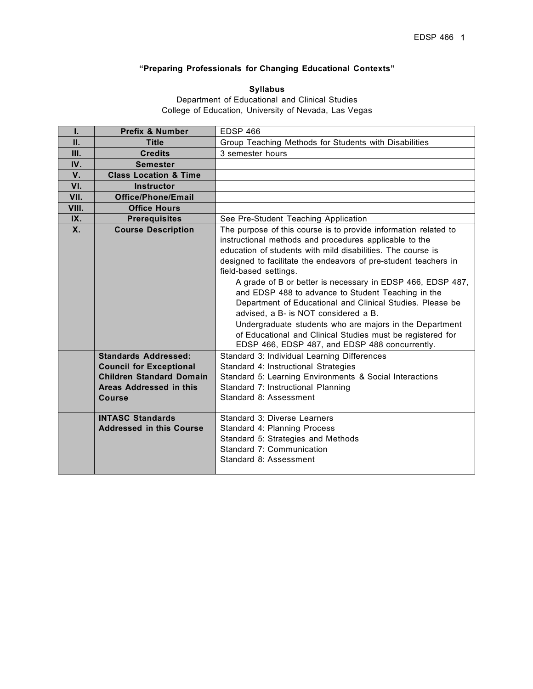# **"Preparing Professionals for Changing Educational Contexts"**

# **Syllabus**

Department of Educational and Clinical Studies College of Education, University of Nevada, Las Vegas

| L     | <b>Prefix &amp; Number</b>                                 | <b>EDSP 466</b>                                                                                                                                                                                                                                                                                                                                                                                                                                                                                                                                                                                                                                                                          |  |
|-------|------------------------------------------------------------|------------------------------------------------------------------------------------------------------------------------------------------------------------------------------------------------------------------------------------------------------------------------------------------------------------------------------------------------------------------------------------------------------------------------------------------------------------------------------------------------------------------------------------------------------------------------------------------------------------------------------------------------------------------------------------------|--|
| П.    | <b>Title</b>                                               | Group Teaching Methods for Students with Disabilities                                                                                                                                                                                                                                                                                                                                                                                                                                                                                                                                                                                                                                    |  |
| Ш.    | <b>Credits</b>                                             | 3 semester hours                                                                                                                                                                                                                                                                                                                                                                                                                                                                                                                                                                                                                                                                         |  |
| IV.   | <b>Semester</b>                                            |                                                                                                                                                                                                                                                                                                                                                                                                                                                                                                                                                                                                                                                                                          |  |
| V.    | <b>Class Location &amp; Time</b>                           |                                                                                                                                                                                                                                                                                                                                                                                                                                                                                                                                                                                                                                                                                          |  |
| VI.   | <b>Instructor</b>                                          |                                                                                                                                                                                                                                                                                                                                                                                                                                                                                                                                                                                                                                                                                          |  |
| VII.  | Office/Phone/Email                                         |                                                                                                                                                                                                                                                                                                                                                                                                                                                                                                                                                                                                                                                                                          |  |
| VIII. | <b>Office Hours</b>                                        |                                                                                                                                                                                                                                                                                                                                                                                                                                                                                                                                                                                                                                                                                          |  |
| IX.   | <b>Prerequisites</b>                                       | See Pre-Student Teaching Application                                                                                                                                                                                                                                                                                                                                                                                                                                                                                                                                                                                                                                                     |  |
| Χ.    | <b>Course Description</b>                                  | The purpose of this course is to provide information related to<br>instructional methods and procedures applicable to the<br>education of students with mild disabilities. The course is<br>designed to facilitate the endeavors of pre-student teachers in<br>field-based settings.<br>A grade of B or better is necessary in EDSP 466, EDSP 487,<br>and EDSP 488 to advance to Student Teaching in the<br>Department of Educational and Clinical Studies. Please be<br>advised, a B- is NOT considered a B.<br>Undergraduate students who are majors in the Department<br>of Educational and Clinical Studies must be registered for<br>EDSP 466, EDSP 487, and EDSP 488 concurrently. |  |
|       | <b>Standards Addressed:</b>                                | Standard 3: Individual Learning Differences                                                                                                                                                                                                                                                                                                                                                                                                                                                                                                                                                                                                                                              |  |
|       | <b>Council for Exceptional</b>                             | Standard 4: Instructional Strategies                                                                                                                                                                                                                                                                                                                                                                                                                                                                                                                                                                                                                                                     |  |
|       | <b>Children Standard Domain</b><br>Areas Addressed in this | Standard 5: Learning Environments & Social Interactions<br>Standard 7: Instructional Planning                                                                                                                                                                                                                                                                                                                                                                                                                                                                                                                                                                                            |  |
|       | <b>Course</b>                                              | Standard 8: Assessment                                                                                                                                                                                                                                                                                                                                                                                                                                                                                                                                                                                                                                                                   |  |
|       |                                                            |                                                                                                                                                                                                                                                                                                                                                                                                                                                                                                                                                                                                                                                                                          |  |
|       | <b>INTASC Standards</b><br><b>Addressed in this Course</b> | Standard 3: Diverse Learners<br>Standard 4: Planning Process<br>Standard 5: Strategies and Methods<br>Standard 7: Communication<br>Standard 8: Assessment                                                                                                                                                                                                                                                                                                                                                                                                                                                                                                                                |  |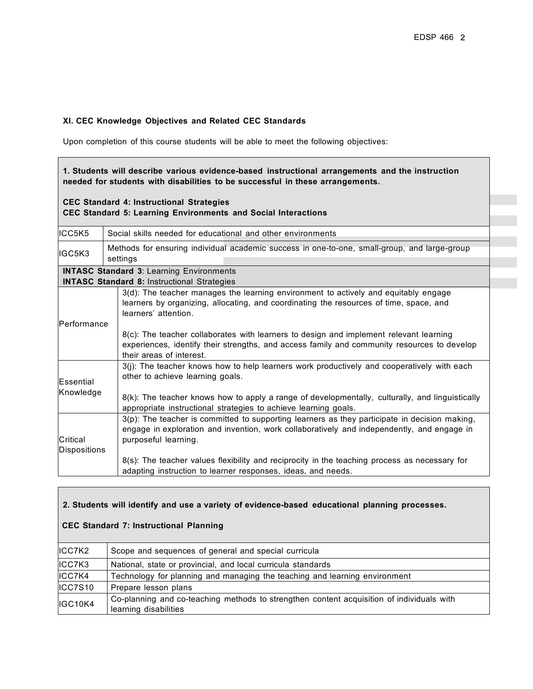### **XI. CEC Knowledge Objectives and Related CEC Standards**

Upon completion of this course students will be able to meet the following objectives:

| 1. Students will describe various evidence-based instructional arrangements and the instruction<br>needed for students with disabilities to be successful in these arrangements. |                                                                                                                                                                                                                                                                                                                                                                                                                            |  |  |  |
|----------------------------------------------------------------------------------------------------------------------------------------------------------------------------------|----------------------------------------------------------------------------------------------------------------------------------------------------------------------------------------------------------------------------------------------------------------------------------------------------------------------------------------------------------------------------------------------------------------------------|--|--|--|
|                                                                                                                                                                                  | <b>CEC Standard 4: Instructional Strategies</b><br><b>CEC Standard 5: Learning Environments and Social Interactions</b>                                                                                                                                                                                                                                                                                                    |  |  |  |
| ICC5K5                                                                                                                                                                           | Social skills needed for educational and other environments                                                                                                                                                                                                                                                                                                                                                                |  |  |  |
| IGC5K3                                                                                                                                                                           | Methods for ensuring individual academic success in one-to-one, small-group, and large-group<br>settings                                                                                                                                                                                                                                                                                                                   |  |  |  |
|                                                                                                                                                                                  | <b>INTASC Standard 3: Learning Environments</b><br><b>INTASC Standard 8: Instructional Strategies</b>                                                                                                                                                                                                                                                                                                                      |  |  |  |
| <b>IPerformance</b>                                                                                                                                                              | 3(d): The teacher manages the learning environment to actively and equitably engage<br>learners by organizing, allocating, and coordinating the resources of time, space, and<br>learners' attention.<br>8(c): The teacher collaborates with learners to design and implement relevant learning<br>experiences, identify their strengths, and access family and community resources to develop<br>their areas of interest. |  |  |  |
| Essential<br>Knowledge                                                                                                                                                           | 3(j): The teacher knows how to help learners work productively and cooperatively with each<br>other to achieve learning goals.<br>8(k): The teacher knows how to apply a range of developmentally, culturally, and linguistically<br>appropriate instructional strategies to achieve learning goals.                                                                                                                       |  |  |  |
| Critical<br><b>Dispositions</b>                                                                                                                                                  | 3(p): The teacher is committed to supporting learners as they participate in decision making,<br>engage in exploration and invention, work collaboratively and independently, and engage in<br>purposeful learning.<br>8(s): The teacher values flexibility and reciprocity in the teaching process as necessary for<br>adapting instruction to learner responses, ideas, and needs.                                       |  |  |  |

## **2. Students will identify and use a variety of evidence-based educational planning processes.**

# **CEC Standard 7: Instructional Planning**

| ICC7K2  | Scope and sequences of general and special curricula                                                               |  |  |
|---------|--------------------------------------------------------------------------------------------------------------------|--|--|
| ICC7K3  | National, state or provincial, and local curricula standards                                                       |  |  |
| ICC7K4  | Technology for planning and managing the teaching and learning environment                                         |  |  |
| ICC7S10 | Prepare lesson plans                                                                                               |  |  |
| IGC10K4 | Co-planning and co-teaching methods to strengthen content acquisition of individuals with<br>learning disabilities |  |  |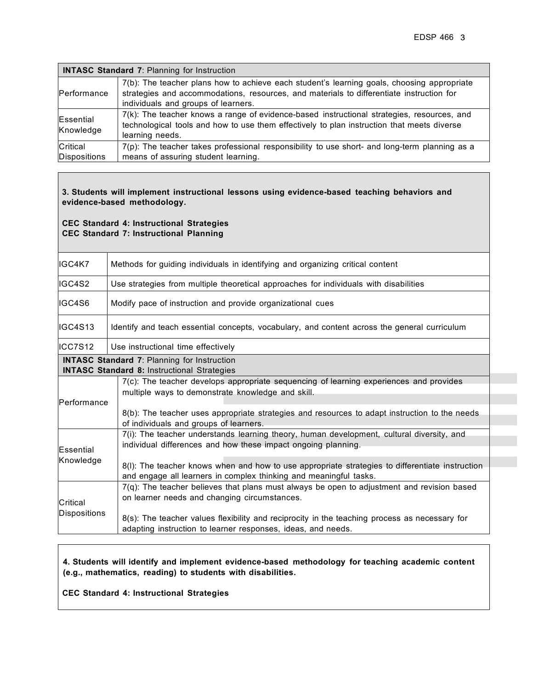| <b>INTASC Standard 7: Planning for Instruction</b> |                                                                                                                                                                                                                               |  |  |
|----------------------------------------------------|-------------------------------------------------------------------------------------------------------------------------------------------------------------------------------------------------------------------------------|--|--|
| Performance                                        | 7(b): The teacher plans how to achieve each student's learning goals, choosing appropriate<br>strategies and accommodations, resources, and materials to differentiate instruction for<br>individuals and groups of learners. |  |  |
| Essential<br>Knowledge                             | 7(k): The teacher knows a range of evidence-based instructional strategies, resources, and<br>technological tools and how to use them effectively to plan instruction that meets diverse<br>learning needs.                   |  |  |
| Critical<br>Dispositions                           | $7(p)$ : The teacher takes professional responsibility to use short- and long-term planning as a<br>means of assuring student learning.                                                                                       |  |  |

### **3. Students will implement instructional lessons using evidence-based teaching behaviors and evidence-based methodology.**

### **CEC Standard 4: Instructional Strategies CEC Standard 7: Instructional Planning**

| IGC4K7                                                                                                                                                                               | Methods for guiding individuals in identifying and organizing critical content                                                                                       |  |  |  |  |
|--------------------------------------------------------------------------------------------------------------------------------------------------------------------------------------|----------------------------------------------------------------------------------------------------------------------------------------------------------------------|--|--|--|--|
| IGC4S2                                                                                                                                                                               | Use strategies from multiple theoretical approaches for individuals with disabilities                                                                                |  |  |  |  |
| IGC4S6                                                                                                                                                                               | Modify pace of instruction and provide organizational cues                                                                                                           |  |  |  |  |
| IIGC4S13                                                                                                                                                                             | Identify and teach essential concepts, vocabulary, and content across the general curriculum                                                                         |  |  |  |  |
| ICC7S12                                                                                                                                                                              | Use instructional time effectively                                                                                                                                   |  |  |  |  |
|                                                                                                                                                                                      | <b>INTASC Standard 7: Planning for Instruction</b><br><b>INTASC Standard 8: Instructional Strategies</b>                                                             |  |  |  |  |
|                                                                                                                                                                                      | 7(c): The teacher develops appropriate sequencing of learning experiences and provides<br>multiple ways to demonstrate knowledge and skill.                          |  |  |  |  |
| Performance<br>8(b): The teacher uses appropriate strategies and resources to adapt instruction to the needs<br>of individuals and groups of learners.                               |                                                                                                                                                                      |  |  |  |  |
| 7(i): The teacher understands learning theory, human development, cultural diversity, and<br>individual differences and how these impact ongoing planning.<br>Essential<br>Knowledge |                                                                                                                                                                      |  |  |  |  |
|                                                                                                                                                                                      | 8(I): The teacher knows when and how to use appropriate strategies to differentiate instruction<br>and engage all learners in complex thinking and meaningful tasks. |  |  |  |  |
| Critical                                                                                                                                                                             | 7(q): The teacher believes that plans must always be open to adjustment and revision based<br>on learner needs and changing circumstances.                           |  |  |  |  |
| Dispositions                                                                                                                                                                         | 8(s): The teacher values flexibility and reciprocity in the teaching process as necessary for<br>adapting instruction to learner responses, ideas, and needs.        |  |  |  |  |

### **4. Students will identify and implement evidence-based methodology for teaching academic content (e.g., mathematics, reading) to students with disabilities.**

**CEC Standard 4: Instructional Strategies**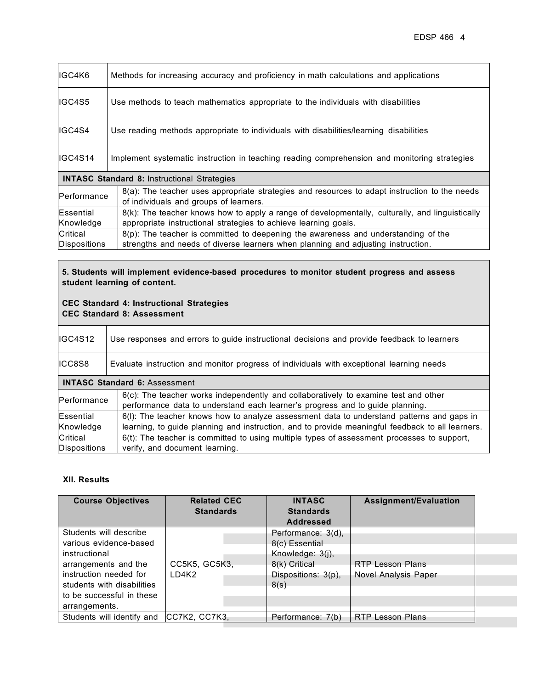| IIGC4K6             | Methods for increasing accuracy and proficiency in math calculations and applications                                                   |  |  |  |  |
|---------------------|-----------------------------------------------------------------------------------------------------------------------------------------|--|--|--|--|
| IIGC4S5             | Use methods to teach mathematics appropriate to the individuals with disabilities                                                       |  |  |  |  |
| IGC4S4              | Use reading methods appropriate to individuals with disabilities/learning disabilities                                                  |  |  |  |  |
| IIGC4S14            | Implement systematic instruction in teaching reading comprehension and monitoring strategies                                            |  |  |  |  |
|                     | <b>INTASC Standard 8: Instructional Strategies</b>                                                                                      |  |  |  |  |
| <b>IPerformance</b> | 8(a): The teacher uses appropriate strategies and resources to adapt instruction to the needs<br>of individuals and groups of learners. |  |  |  |  |
| Essential           | 8(k): The teacher knows how to apply a range of developmentally, culturally, and linguistically                                         |  |  |  |  |
| Knowledge           | appropriate instructional strategies to achieve learning goals.                                                                         |  |  |  |  |
| Critical            | 8(p): The teacher is committed to deepening the awareness and understanding of the                                                      |  |  |  |  |
| <b>Dispositions</b> | strengths and needs of diverse learners when planning and adjusting instruction.                                                        |  |  |  |  |

## **5. Students will implement evidence-based procedures to monitor student progress and assess student learning of content.**

## **CEC Standard 4: Instructional Strategies CEC Standard 8: Assessment**

| IGC4S12                                                                                                                                                                                | Use responses and errors to guide instructional decisions and provide feedback to learners                                                                                                    |  |  |  |  |
|----------------------------------------------------------------------------------------------------------------------------------------------------------------------------------------|-----------------------------------------------------------------------------------------------------------------------------------------------------------------------------------------------|--|--|--|--|
| ICC8S8                                                                                                                                                                                 | Evaluate instruction and monitor progress of individuals with exceptional learning needs                                                                                                      |  |  |  |  |
|                                                                                                                                                                                        | <b>INTASC Standard 6: Assessment</b>                                                                                                                                                          |  |  |  |  |
| $6(c)$ : The teacher works independently and collaboratively to examine test and other<br>Performance<br>performance data to understand each learner's progress and to guide planning. |                                                                                                                                                                                               |  |  |  |  |
| Essential<br>Knowledge                                                                                                                                                                 | 6(I): The teacher knows how to analyze assessment data to understand patterns and gaps in<br>learning, to guide planning and instruction, and to provide meaningful feedback to all learners. |  |  |  |  |
| Critical<br>Dispositions                                                                                                                                                               | 6(t): The teacher is committed to using multiple types of assessment processes to support,<br>verify, and document learning.                                                                  |  |  |  |  |

## **XII. Results**

| <b>Course Objectives</b>   | <b>Related CEC</b> | <b>INTASC</b>       | <b>Assignment/Evaluation</b> |
|----------------------------|--------------------|---------------------|------------------------------|
|                            | <b>Standards</b>   | <b>Standards</b>    |                              |
|                            |                    | <b>Addressed</b>    |                              |
| Students will describe     |                    | Performance: 3(d),  |                              |
| various evidence-based     |                    | 8(c) Essential      |                              |
| instructional              |                    | Knowledge: 3(j),    |                              |
| arrangements and the       | CC5K5, GC5K3,      | 8(k) Critical       | <b>RTP Lesson Plans</b>      |
| instruction needed for     | LD4K2              | Dispositions: 3(p), | Novel Analysis Paper         |
| students with disabilities |                    | 8(s)                |                              |
| to be successful in these  |                    |                     |                              |
| arrangements.              |                    |                     |                              |
| Students will identify and | ICC7K2, CC7K3.     | Performance: 7(b)   | <b>RTP Lesson Plans</b>      |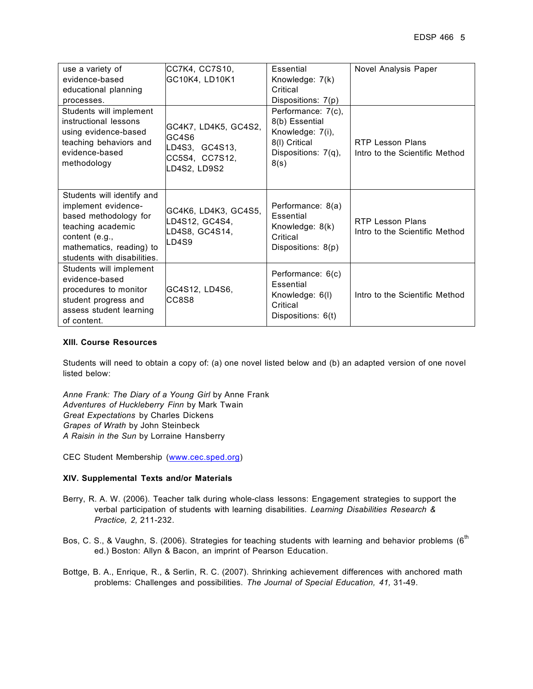| use a variety of                                                                                                                                                             | CC7K4, CC7S10,                                                                    | Essential                                                                                                | Novel Analysis Paper                                      |
|------------------------------------------------------------------------------------------------------------------------------------------------------------------------------|-----------------------------------------------------------------------------------|----------------------------------------------------------------------------------------------------------|-----------------------------------------------------------|
| evidence-based                                                                                                                                                               | GC10K4, LD10K1                                                                    | Knowledge: 7(k)                                                                                          |                                                           |
| educational planning                                                                                                                                                         |                                                                                   | Critical                                                                                                 |                                                           |
| processes.                                                                                                                                                                   |                                                                                   | Dispositions: 7(p)                                                                                       |                                                           |
| Students will implement<br>instructional lessons<br>using evidence-based<br>teaching behaviors and<br>evidence-based<br>methodology                                          | GC4K7, LD4K5, GC4S2,<br>GC4S6<br>LD4S3, GC4S13,<br>CC5S4, CC7S12,<br>LD4S2, LD9S2 | Performance: 7(c),<br>8(b) Essential<br>Knowledge: 7(i),<br>8(I) Critical<br>Dispositions: 7(q),<br>8(s) | <b>RTP Lesson Plans</b><br>Intro to the Scientific Method |
| Students will identify and<br>implement evidence-<br>based methodology for<br>teaching academic<br>content (e.g.,<br>mathematics, reading) to<br>students with disabilities. | GC4K6, LD4K3, GC4S5,<br>D4S12, GC4S4,<br>D4S8, GC4S14,<br>LD4S9                   | Performance: 8(a)<br>Essential<br>Knowledge: 8(k)<br>Critical<br>Dispositions: 8(p)                      | <b>RTP Lesson Plans</b><br>Intro to the Scientific Method |
| Students will implement<br>evidence-based<br>procedures to monitor<br>student progress and<br>assess student learning<br>of content.                                         | GC4S12, LD4S6,<br>CC8S8                                                           | Performance: 6(c)<br>Essential<br>Knowledge: 6(I)<br>Critical<br>Dispositions: 6(t)                      | Intro to the Scientific Method                            |

#### **XIII. Course Resources**

Students will need to obtain a copy of: (a) one novel listed below and (b) an adapted version of one novel listed below:

*Anne Frank: The Diary of a Young Girl* by Anne Frank *Adventures of Huckleberry Finn* by Mark Twain *Great Expectations* by Charles Dickens *Grapes of Wrath* by John Steinbeck *A Raisin in the Sun* by Lorraine Hansberry

CEC Student Membership (www.cec.sped.org)

#### **XIV. Supplemental Texts and/or Materials**

- Berry, R. A. W. (2006). Teacher talk during whole-class lessons: Engagement strategies to support the verbal participation of students with learning disabilities. *Learning Disabilities Research & Practice, 2,* 211-232.
- Bos, C. S., & Vaughn, S. (2006). Strategies for teaching students with learning and behavior problems (6<sup>th</sup> ed.) Boston: Allyn & Bacon, an imprint of Pearson Education.
- Bottge, B. A., Enrique, R., & Serlin, R. C. (2007). Shrinking achievement differences with anchored math problems: Challenges and possibilities. *The Journal of Special Education, 41,* 31-49.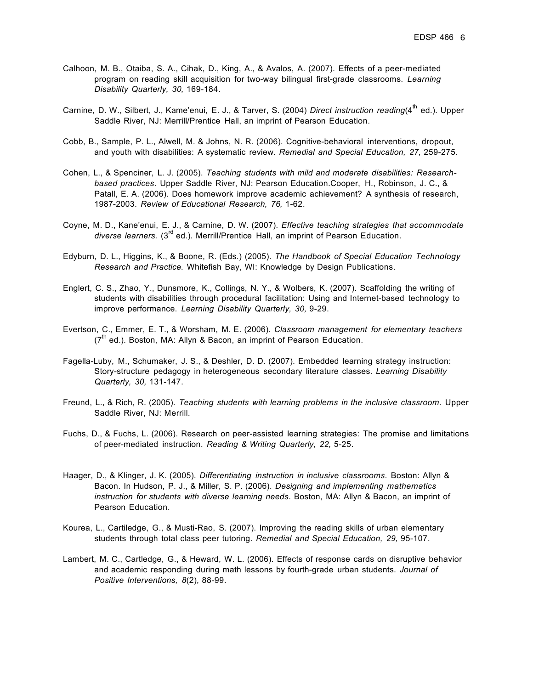- Calhoon, M. B., Otaiba, S. A., Cihak, D., King, A., & Avalos, A. (2007). Effects of a peer-mediated program on reading skill acquisition for two-way bilingual first-grade classrooms. *Learning Disability Quarterly, 30,* 169-184.
- Carnine, D. W., Silbert, J., Kame'enui, E. J., & Tarver, S. (2004) *Direct instruction reading*(4<sup>th</sup> ed.). Upper Saddle River, NJ: Merrill/Prentice Hall, an imprint of Pearson Education.
- Cobb, B., Sample, P. L., Alwell, M. & Johns, N. R. (2006). Cognitive-behavioral interventions, dropout, and youth with disabilities: A systematic review. *Remedial and Special Education, 27,* 259-275.
- Cohen, L., & Spenciner, L. J. (2005). *Teaching students with mild and moderate disabilities: Researchbased practices*. Upper Saddle River, NJ: Pearson Education.Cooper, H., Robinson, J. C., & Patall, E. A. (2006). Does homework improve academic achievement? A synthesis of research, 1987-2003. *Review of Educational Research, 76,* 1-62.
- Coyne, M. D., Kane'enui, E. J., & Carnine, D. W. (2007). *Effective teaching strategies that accommodate diverse learners.* (3rd ed.). Merrill/Prentice Hall, an imprint of Pearson Education.
- Edyburn, D. L., Higgins, K., & Boone, R. (Eds.) (2005). *The Handbook of Special Education Technology Research and Practice.* Whitefish Bay, WI: Knowledge by Design Publications.
- Englert, C. S., Zhao, Y., Dunsmore, K., Collings, N. Y., & Wolbers, K. (2007). Scaffolding the writing of students with disabilities through procedural facilitation: Using and Internet-based technology to improve performance. *Learning Disability Quarterly, 30,* 9-29.
- Evertson, C., Emmer, E. T., & Worsham, M. E. (2006). *Classroom management for elementary teachers*  $(7<sup>th</sup>$  ed.). Boston, MA: Allyn & Bacon, an imprint of Pearson Education.
- Fagella-Luby, M., Schumaker, J. S., & Deshler, D. D. (2007). Embedded learning strategy instruction: Story-structure pedagogy in heterogeneous secondary literature classes. *Learning Disability Quarterly, 30,* 131-147.
- Freund, L., & Rich, R. (2005). *Teaching students with learning problems in the inclusive classroom*. Upper Saddle River, NJ: Merrill.
- Fuchs, D., & Fuchs, L. (2006). Research on peer-assisted learning strategies: The promise and limitations of peer-mediated instruction. *Reading & Writing Quarterly, 22,* 5-25.
- Haager, D., & Klinger, J. K. (2005). *Differentiating instruction in inclusive classrooms*. Boston: Allyn & Bacon. In Hudson, P. J., & Miller, S. P. (2006). *Designing and implementing mathematics instruction for students with diverse learning needs*. Boston, MA: Allyn & Bacon, an imprint of Pearson Education.
- Kourea, L., Cartiledge, G., & Musti-Rao, S. (2007). Improving the reading skills of urban elementary students through total class peer tutoring. *Remedial and Special Education, 29,* 95-107.
- Lambert, M. C., Cartledge, G., & Heward, W. L. (2006). Effects of response cards on disruptive behavior and academic responding during math lessons by fourth-grade urban students. *Journal of Positive Interventions, 8*(2), 88-99.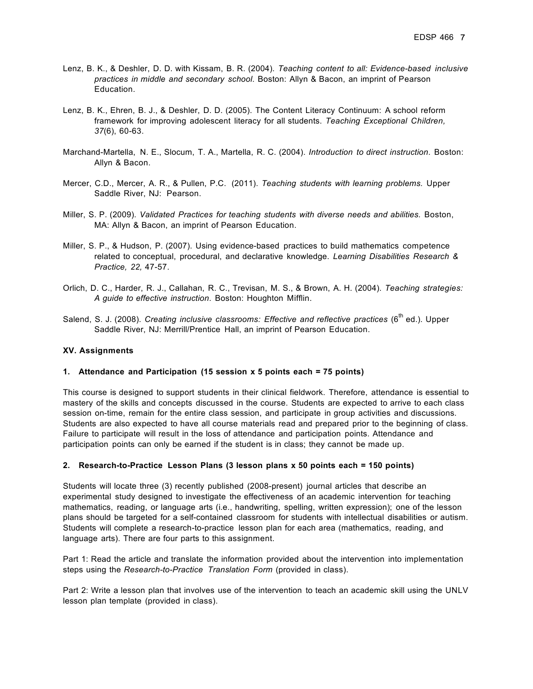- Lenz, B. K., & Deshler, D. D. with Kissam, B. R. (2004). *Teaching content to all: Evidence-based inclusive practices in middle and secondary school*. Boston: Allyn & Bacon, an imprint of Pearson Education.
- Lenz, B. K., Ehren, B. J., & Deshler, D. D. (2005). The Content Literacy Continuum: A school reform framework for improving adolescent literacy for all students. *Teaching Exceptional Children, 37*(6), 60-63.
- Marchand-Martella, N. E., Slocum, T. A., Martella, R. C. (2004). *Introduction to direct instruction*. Boston: Allyn & Bacon.
- Mercer, C.D., Mercer, A. R., & Pullen, P.C. (2011). *Teaching students with learning problems.* Upper Saddle River, NJ: Pearson.
- Miller, S. P. (2009). *Validated Practices for teaching students with diverse needs and abilities.* Boston, MA: Allyn & Bacon, an imprint of Pearson Education.
- Miller, S. P., & Hudson, P. (2007). Using evidence-based practices to build mathematics competence related to conceptual, procedural, and declarative knowledge. *Learning Disabilities Research & Practice, 22,* 47-57.
- Orlich, D. C., Harder, R. J., Callahan, R. C., Trevisan, M. S., & Brown, A. H. (2004). *Teaching strategies: A guide to effective instruction*. Boston: Houghton Mifflin.
- Salend, S. J. (2008). *Creating inclusive classrooms: Effective and reflective practices* (6<sup>th</sup> ed.). Upper Saddle River, NJ: Merrill/Prentice Hall, an imprint of Pearson Education.

#### **XV. Assignments**

#### **1. Attendance and Participation (15 session x 5 points each = 75 points)**

This course is designed to support students in their clinical fieldwork. Therefore, attendance is essential to mastery of the skills and concepts discussed in the course. Students are expected to arrive to each class session on-time, remain for the entire class session, and participate in group activities and discussions. Students are also expected to have all course materials read and prepared prior to the beginning of class. Failure to participate will result in the loss of attendance and participation points. Attendance and participation points can only be earned if the student is in class; they cannot be made up.

#### **2. Research-to-Practice Lesson Plans (3 lesson plans x 50 points each = 150 points)**

Students will locate three (3) recently published (2008-present) journal articles that describe an experimental study designed to investigate the effectiveness of an academic intervention for teaching mathematics, reading, or language arts (i.e., handwriting, spelling, written expression); one of the lesson plans should be targeted for a self-contained classroom for students with intellectual disabilities or autism. Students will complete a research-to-practice lesson plan for each area (mathematics, reading, and language arts). There are four parts to this assignment.

Part 1: Read the article and translate the information provided about the intervention into implementation steps using the *Research-to-Practice Translation Form* (provided in class).

Part 2: Write a lesson plan that involves use of the intervention to teach an academic skill using the UNLV lesson plan template (provided in class).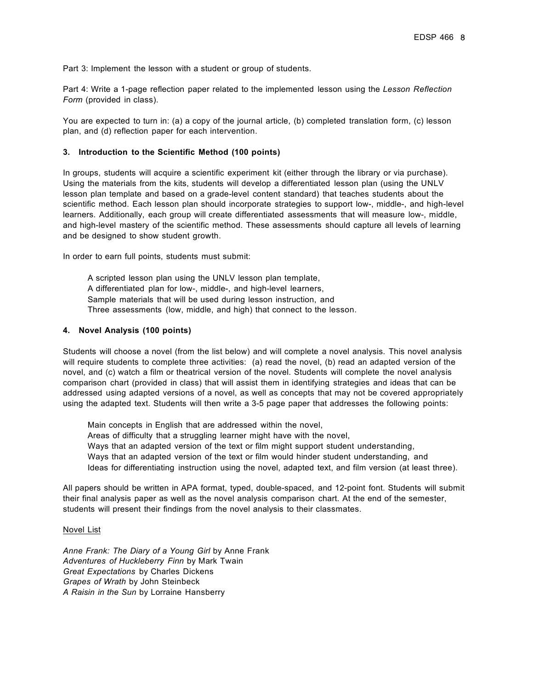Part 3: Implement the lesson with a student or group of students.

Part 4: Write a 1-page reflection paper related to the implemented lesson using the *Lesson Reflection Form* (provided in class).

You are expected to turn in: (a) a copy of the journal article, (b) completed translation form, (c) lesson plan, and (d) reflection paper for each intervention.

#### **3. Introduction to the Scientific Method (100 points)**

In groups, students will acquire a scientific experiment kit (either through the library or via purchase). Using the materials from the kits, students will develop a differentiated lesson plan (using the UNLV lesson plan template and based on a grade-level content standard) that teaches students about the scientific method. Each lesson plan should incorporate strategies to support low-, middle-, and high-level learners. Additionally, each group will create differentiated assessments that will measure low-, middle, and high-level mastery of the scientific method. These assessments should capture all levels of learning and be designed to show student growth.

In order to earn full points, students must submit:

 A scripted lesson plan using the UNLV lesson plan template, A differentiated plan for low-, middle-, and high-level learners, Sample materials that will be used during lesson instruction, and Three assessments (low, middle, and high) that connect to the lesson.

#### **4. Novel Analysis (100 points)**

Students will choose a novel (from the list below) and will complete a novel analysis. This novel analysis will require students to complete three activities: (a) read the novel, (b) read an adapted version of the novel, and (c) watch a film or theatrical version of the novel. Students will complete the novel analysis comparison chart (provided in class) that will assist them in identifying strategies and ideas that can be addressed using adapted versions of a novel, as well as concepts that may not be covered appropriately using the adapted text. Students will then write a 3-5 page paper that addresses the following points:

 Main concepts in English that are addressed within the novel, Areas of difficulty that a struggling learner might have with the novel, Ways that an adapted version of the text or film might support student understanding, Ways that an adapted version of the text or film would hinder student understanding, and Ideas for differentiating instruction using the novel, adapted text, and film version (at least three).

All papers should be written in APA format, typed, double-spaced, and 12-point font. Students will submit their final analysis paper as well as the novel analysis comparison chart. At the end of the semester, students will present their findings from the novel analysis to their classmates.

#### Novel List

*Anne Frank: The Diary of a Young Girl* by Anne Frank *Adventures of Huckleberry Finn* by Mark Twain *Great Expectations* by Charles Dickens *Grapes of Wrath* by John Steinbeck *A Raisin in the Sun* by Lorraine Hansberry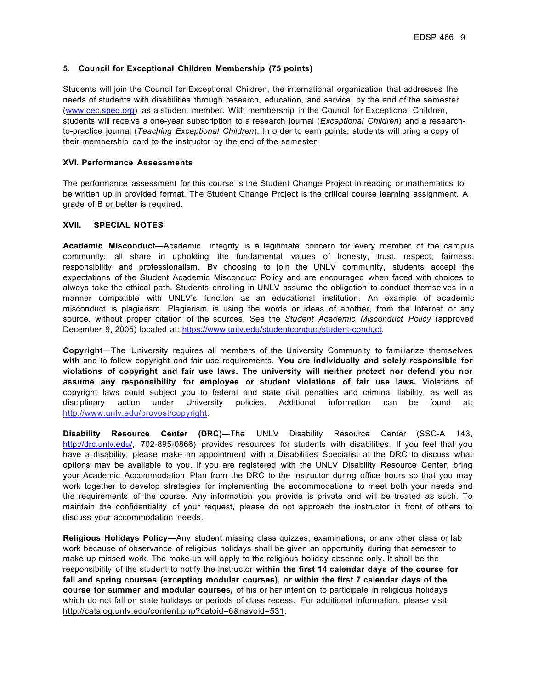#### **5. Council for Exceptional Children Membership (75 points)**

Students will join the Council for Exceptional Children, the international organization that addresses the needs of students with disabilities through research, education, and service, by the end of the semester (www.cec.sped.org) as a student member. With membership in the Council for Exceptional Children, students will receive a one-year subscription to a research journal (*Exceptional Children*) and a researchto-practice journal (*Teaching Exceptional Children*). In order to earn points, students will bring a copy of their membership card to the instructor by the end of the semester.

#### **XVI. Performance Assessments**

The performance assessment for this course is the Student Change Project in reading or mathematics to be written up in provided format. The Student Change Project is the critical course learning assignment. A grade of B or better is required.

#### **XVII. SPECIAL NOTES**

**Academic Misconduct**—Academic integrity is a legitimate concern for every member of the campus community; all share in upholding the fundamental values of honesty, trust, respect, fairness, responsibility and professionalism. By choosing to join the UNLV community, students accept the expectations of the Student Academic Misconduct Policy and are encouraged when faced with choices to always take the ethical path. Students enrolling in UNLV assume the obligation to conduct themselves in a manner compatible with UNLV's function as an educational institution. An example of academic misconduct is plagiarism. Plagiarism is using the words or ideas of another, from the Internet or any source, without proper citation of the sources. See the *Student Academic Misconduct Policy* (approved December 9, 2005) located at: https://www.unlv.edu/studentconduct/student-conduct.

**Copyright**—The University requires all members of the University Community to familiarize themselves **with** and to follow copyright and fair use requirements. **You are individually and solely responsible for violations of copyright and fair use laws. The university will neither protect nor defend you nor assume any responsibility for employee or student violations of fair use laws.** Violations of copyright laws could subject you to federal and state civil penalties and criminal liability, as well as disciplinary action under University policies. Additional information can be found at: http://www.unlv.edu/provost/copyright.

**Disability Resource Center (DRC)**—The UNLV Disability Resource Center (SSC-A 143, http://drc.unlv.edu/, 702-895-0866) provides resources for students with disabilities. If you feel that you have a disability, please make an appointment with a Disabilities Specialist at the DRC to discuss what options may be available to you. If you are registered with the UNLV Disability Resource Center, bring your Academic Accommodation Plan from the DRC to the instructor during office hours so that you may work together to develop strategies for implementing the accommodations to meet both your needs and the requirements of the course. Any information you provide is private and will be treated as such. To maintain the confidentiality of your request, please do not approach the instructor in front of others to discuss your accommodation needs.

**Religious Holidays Policy**—Any student missing class quizzes, examinations, or any other class or lab work because of observance of religious holidays shall be given an opportunity during that semester to make up missed work. The make-up will apply to the religious holiday absence only. It shall be the responsibility of the student to notify the instructor **within the first 14 calendar days of the course for fall and spring courses (excepting modular courses), or within the first 7 calendar days of the course for summer and modular courses,** of his or her intention to participate in religious holidays which do not fall on state holidays or periods of class recess. For additional information, please visit: http://catalog.unlv.edu/content.php?catoid=6&navoid=531.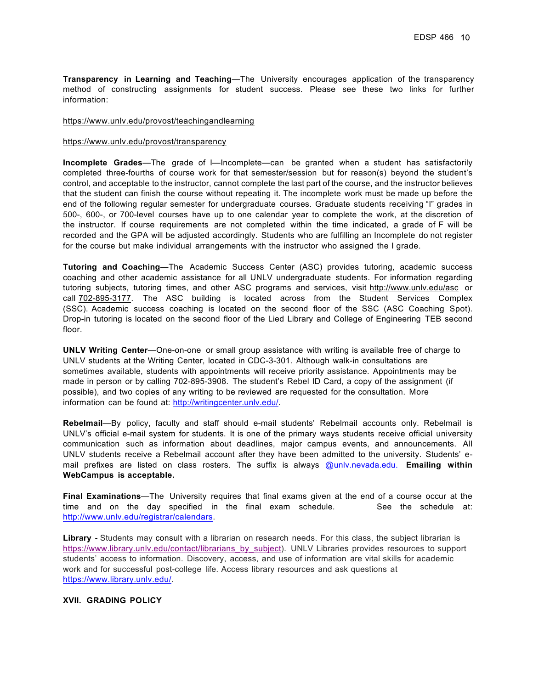**Transparency in Learning and Teaching**—The University encourages application of the transparency method of constructing assignments for student success. Please see these two links for further information:

#### https://www.unlv.edu/provost/teachingandlearning

#### https://www.unlv.edu/provost/transparency

**Incomplete Grades**—The grade of I—Incomplete—can be granted when a student has satisfactorily completed three-fourths of course work for that semester/session but for reason(s) beyond the student's control, and acceptable to the instructor, cannot complete the last part of the course, and the instructor believes that the student can finish the course without repeating it. The incomplete work must be made up before the end of the following regular semester for undergraduate courses. Graduate students receiving "I" grades in 500-, 600-, or 700-level courses have up to one calendar year to complete the work, at the discretion of the instructor. If course requirements are not completed within the time indicated, a grade of F will be recorded and the GPA will be adjusted accordingly. Students who are fulfilling an Incomplete do not register for the course but make individual arrangements with the instructor who assigned the I grade.

**Tutoring and Coaching**—The Academic Success Center (ASC) provides tutoring, academic success coaching and other academic assistance for all UNLV undergraduate students. For information regarding tutoring subjects, tutoring times, and other ASC programs and services, visit http://www.unlv.edu/asc or call 702-895-3177. The ASC building is located across from the Student Services Complex (SSC). Academic success coaching is located on the second floor of the SSC (ASC Coaching Spot). Drop-in tutoring is located on the second floor of the Lied Library and College of Engineering TEB second floor.

**UNLV Writing Center**—One-on-one or small group assistance with writing is available free of charge to UNLV students at the Writing Center, located in CDC-3-301. Although walk-in consultations are sometimes available, students with appointments will receive priority assistance. Appointments may be made in person or by calling 702-895-3908. The student's Rebel ID Card, a copy of the assignment (if possible), and two copies of any writing to be reviewed are requested for the consultation. More information can be found at: http://writingcenter.unlv.edu/.

**Rebelmail**—By policy, faculty and staff should e-mail students' Rebelmail accounts only. Rebelmail is UNLV's official e-mail system for students. It is one of the primary ways students receive official university communication such as information about deadlines, major campus events, and announcements. All UNLV students receive a Rebelmail account after they have been admitted to the university. Students' email prefixes are listed on class rosters. The suffix is always @unlv.nevada.edu. **Emailing within WebCampus is acceptable.**

**Final Examinations**—The University requires that final exams given at the end of a course occur at the time and on the day specified in the final exam schedule. See the schedule at: http://www.unlv.edu/registrar/calendars.

Library **-** Students may consult with a librarian on research needs. For this class, the subject librarian is https://www.library.unlv.edu/contact/librarians\_by\_subject). UNLV Libraries provides resources to support students' access to information. Discovery, access, and use of information are vital skills for academic work and for successful post-college life. Access library resources and ask questions at https://www.library.unlv.edu/.

#### **XVII. GRADING POLICY**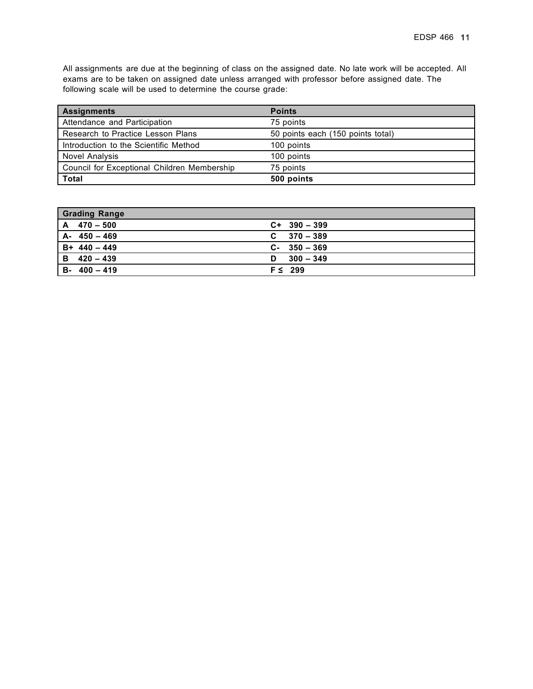All assignments are due at the beginning of class on the assigned date. No late work will be accepted. All exams are to be taken on assigned date unless arranged with professor before assigned date. The following scale will be used to determine the course grade:

| <b>Assignments</b>                          | <b>Points</b>                     |
|---------------------------------------------|-----------------------------------|
| Attendance and Participation                | 75 points                         |
| Research to Practice Lesson Plans           | 50 points each (150 points total) |
| Introduction to the Scientific Method       | 100 points                        |
| <b>Novel Analysis</b>                       | 100 points                        |
| Council for Exceptional Children Membership | 75 points                         |
| <b>Total</b>                                | 500 points                        |

| <b>Grading Range</b> |                 |
|----------------------|-----------------|
| $A \quad 470 - 500$  | $C+ 390 - 399$  |
| $A - 450 - 469$      | $C = 370 - 389$ |
| $B + 440 - 449$      | $C-350-369$     |
| $B$ 420 - 439        | $D = 300 - 349$ |
| $B - 400 - 419$      | $F \leq 299$    |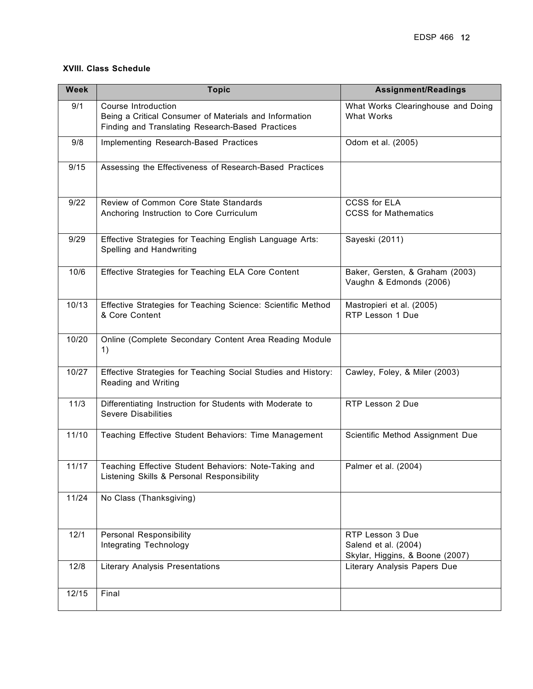## **XVIII. Class Schedule**

| <b>Week</b> | <b>Topic</b>                                                                                                                      | <b>Assignment/Readings</b>                                                  |
|-------------|-----------------------------------------------------------------------------------------------------------------------------------|-----------------------------------------------------------------------------|
| 9/1         | Course Introduction<br>Being a Critical Consumer of Materials and Information<br>Finding and Translating Research-Based Practices | What Works Clearinghouse and Doing<br><b>What Works</b>                     |
| 9/8         | Implementing Research-Based Practices                                                                                             | Odom et al. (2005)                                                          |
| 9/15        | Assessing the Effectiveness of Research-Based Practices                                                                           |                                                                             |
| 9/22        | Review of Common Core State Standards<br>Anchoring Instruction to Core Curriculum                                                 | <b>CCSS for ELA</b><br><b>CCSS</b> for Mathematics                          |
| 9/29        | Effective Strategies for Teaching English Language Arts:<br>Spelling and Handwriting                                              | Sayeski (2011)                                                              |
| 10/6        | Effective Strategies for Teaching ELA Core Content                                                                                | Baker, Gersten, & Graham (2003)<br>Vaughn & Edmonds (2006)                  |
| 10/13       | Effective Strategies for Teaching Science: Scientific Method<br>& Core Content                                                    | Mastropieri et al. (2005)<br>RTP Lesson 1 Due                               |
| 10/20       | Online (Complete Secondary Content Area Reading Module<br>1)                                                                      |                                                                             |
| 10/27       | Effective Strategies for Teaching Social Studies and History:<br>Reading and Writing                                              | Cawley, Foley, & Miler (2003)                                               |
| 11/3        | Differentiating Instruction for Students with Moderate to<br><b>Severe Disabilities</b>                                           | RTP Lesson 2 Due                                                            |
| 11/10       | Teaching Effective Student Behaviors: Time Management                                                                             | Scientific Method Assignment Due                                            |
| 11/17       | Teaching Effective Student Behaviors: Note-Taking and<br>Listening Skills & Personal Responsibility                               | Palmer et al. (2004)                                                        |
| 11/24       | No Class (Thanksgiving)                                                                                                           |                                                                             |
| 12/1        | <b>Personal Responsibility</b><br>Integrating Technology                                                                          | RTP Lesson 3 Due<br>Salend et al. (2004)<br>Skylar, Higgins, & Boone (2007) |
| 12/8        | <b>Literary Analysis Presentations</b>                                                                                            | Literary Analysis Papers Due                                                |
| 12/15       | Final                                                                                                                             |                                                                             |